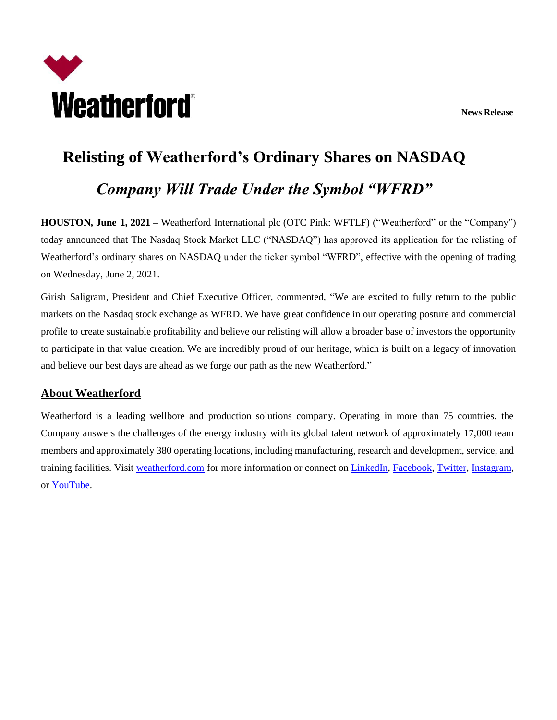**News Release**



## **Relisting of Weatherford's Ordinary Shares on NASDAQ** *Company Will Trade Under the Symbol "WFRD"*

**HOUSTON, June 1, 2021 –** Weatherford International plc (OTC Pink: WFTLF) ("Weatherford" or the "Company") today announced that The Nasdaq Stock Market LLC ("NASDAQ") has approved its application for the relisting of Weatherford's ordinary shares on NASDAQ under the ticker symbol "WFRD", effective with the opening of trading on Wednesday, June 2, 2021.

Girish Saligram, President and Chief Executive Officer, commented, "We are excited to fully return to the public markets on the Nasdaq stock exchange as WFRD. We have great confidence in our operating posture and commercial profile to create sustainable profitability and believe our relisting will allow a broader base of investors the opportunity to participate in that value creation. We are incredibly proud of our heritage, which is built on a legacy of innovation and believe our best days are ahead as we forge our path as the new Weatherford."

## **About Weatherford**

Weatherford is a leading wellbore and production solutions company. Operating in more than 75 countries, the Company answers the challenges of the energy industry with its global talent network of approximately 17,000 team members and approximately 380 operating locations, including manufacturing, research and development, service, and training facilities. Visit [weatherford.com](https://www.weatherford.com/) for more information or connect on [LinkedIn,](https://www.linkedin.com/company/weatherford) [Facebook,](https://www.facebook.com/WeatherfordCorp) [Twitter,](https://twitter.com/weatherfordcorp) [Instagram,](https://www.instagram.com/weatherfordcorp) or [YouTube.](https://www.youtube.com/user/weatherfordcorp)